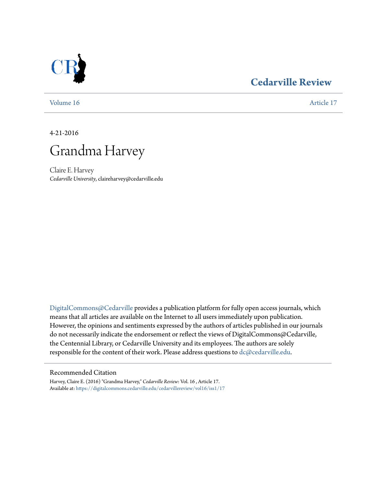## **[Cedarville Review](https://digitalcommons.cedarville.edu/cedarvillereview?utm_source=digitalcommons.cedarville.edu%2Fcedarvillereview%2Fvol16%2Fiss1%2F17&utm_medium=PDF&utm_campaign=PDFCoverPages)**

[Volume 16](https://digitalcommons.cedarville.edu/cedarvillereview/vol16?utm_source=digitalcommons.cedarville.edu%2Fcedarvillereview%2Fvol16%2Fiss1%2F17&utm_medium=PDF&utm_campaign=PDFCoverPages) [Article 17](https://digitalcommons.cedarville.edu/cedarvillereview/vol16/iss1/17?utm_source=digitalcommons.cedarville.edu%2Fcedarvillereview%2Fvol16%2Fiss1%2F17&utm_medium=PDF&utm_campaign=PDFCoverPages)

4-21-2016

# Grandma Harvey

Claire E. Harvey *Cedarville University*, claireharvey@cedarville.edu

[DigitalCommons@Cedarville](http://digitalcommons.cedarville.edu) provides a publication platform for fully open access journals, which means that all articles are available on the Internet to all users immediately upon publication. However, the opinions and sentiments expressed by the authors of articles published in our journals do not necessarily indicate the endorsement or reflect the views of DigitalCommons@Cedarville, the Centennial Library, or Cedarville University and its employees. The authors are solely responsible for the content of their work. Please address questions to [dc@cedarville.edu](mailto:dc@cedarville.edu).

## Recommended Citation

Harvey, Claire E. (2016) "Grandma Harvey," *Cedarville Review*: Vol. 16 , Article 17. Available at: [https://digitalcommons.cedarville.edu/cedarvillereview/vol16/iss1/17](https://digitalcommons.cedarville.edu/cedarvillereview/vol16/iss1/17?utm_source=digitalcommons.cedarville.edu%2Fcedarvillereview%2Fvol16%2Fiss1%2F17&utm_medium=PDF&utm_campaign=PDFCoverPages)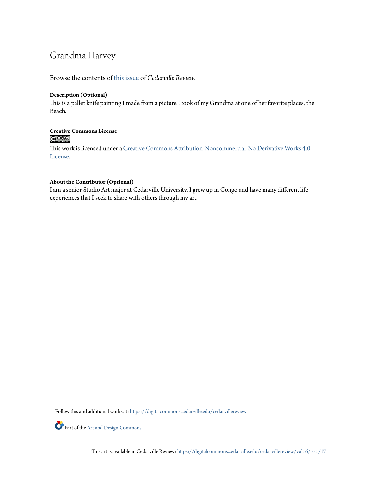## Grandma Harvey

Browse the contents of [this issue](https://digitalcommons.cedarville.edu/cedarvillereview/vol16/iss1) of *Cedarville Review*.

#### **Description (Optional)**

This is a pallet knife painting I made from a picture I took of my Grandma at one of her favorite places, the Beach.

# **Creative Commons License**

This work is licensed under a [Creative Commons Attribution-Noncommercial-No Derivative Works 4.0](http://creativecommons.org/licenses/by-nc-nd/4.0/) [License.](http://creativecommons.org/licenses/by-nc-nd/4.0/)

### **About the Contributor (Optional)**

I am a senior Studio Art major at Cedarville University. I grew up in Congo and have many different life experiences that I seek to share with others through my art.

Follow this and additional works at: [https://digitalcommons.cedarville.edu/cedarvillereview](https://digitalcommons.cedarville.edu/cedarvillereview?utm_source=digitalcommons.cedarville.edu%2Fcedarvillereview%2Fvol16%2Fiss1%2F17&utm_medium=PDF&utm_campaign=PDFCoverPages)



Part of the <u>[Art and Design Commons](http://network.bepress.com/hgg/discipline/1049?utm_source=digitalcommons.cedarville.edu%2Fcedarvillereview%2Fvol16%2Fiss1%2F17&utm_medium=PDF&utm_campaign=PDFCoverPages)</u>